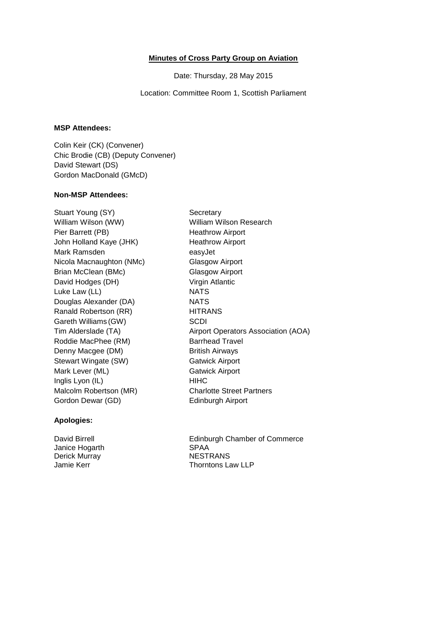### **Minutes of Cross Party Group on Aviation**

Date: Thursday, 28 May 2015

Location: Committee Room 1, Scottish Parliament

# **MSP Attendees:**

Colin Keir (CK) (Convener) Chic Brodie (CB) (Deputy Convener) David Stewart (DS) Gordon MacDonald (GMcD)

## **Non-MSP Attendees:**

Stuart Young (SY) Secretary William Wilson (WW) William Wilson Research Pier Barrett (PB) Heathrow Airport John Holland Kaye (JHK) Heathrow Airport Mark Ramsden easyJet Nicola Macnaughton (NMc) Glasgow Airport Brian McClean (BMc) Glasgow Airport David Hodges (DH) Virgin Atlantic Luke Law (LL) NATS Douglas Alexander (DA) NATS Ranald Robertson (RR) HITRANS Gareth Williams (GW) SCDI Roddie MacPhee (RM) Barrhead Travel Denny Macgee (DM) British Airways Stewart Wingate (SW) Gatwick Airport Mark Lever (ML) Gatwick Airport Inglis Lyon (IL) HIHC Malcolm Robertson (MR) Charlotte Street Partners Gordon Dewar (GD) Edinburgh Airport

Tim Alderslade (TA) Airport Operators Association (AOA)

### **Apologies:**

Janice Hogarth SPAA Derick Murray NESTRANS

David Birrell **Edinburgh Chamber of Commerce** Jamie Kerr Thorntons Law LLP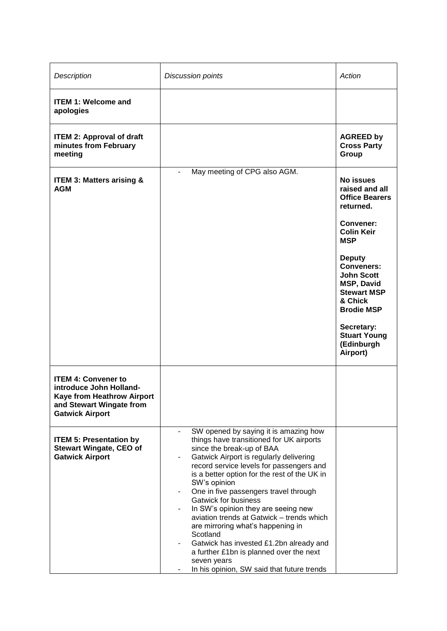| Description                                                                                                                               | <b>Discussion points</b>                                                                                                                                                                                                                                                                                                                                                                                                                                                                                                                                                                                                                        | Action                                                                                                                                                                                                                                                                                                                 |
|-------------------------------------------------------------------------------------------------------------------------------------------|-------------------------------------------------------------------------------------------------------------------------------------------------------------------------------------------------------------------------------------------------------------------------------------------------------------------------------------------------------------------------------------------------------------------------------------------------------------------------------------------------------------------------------------------------------------------------------------------------------------------------------------------------|------------------------------------------------------------------------------------------------------------------------------------------------------------------------------------------------------------------------------------------------------------------------------------------------------------------------|
| <b>ITEM 1: Welcome and</b><br>apologies                                                                                                   |                                                                                                                                                                                                                                                                                                                                                                                                                                                                                                                                                                                                                                                 |                                                                                                                                                                                                                                                                                                                        |
| <b>ITEM 2: Approval of draft</b><br>minutes from February<br>meeting                                                                      |                                                                                                                                                                                                                                                                                                                                                                                                                                                                                                                                                                                                                                                 | <b>AGREED by</b><br><b>Cross Party</b><br>Group                                                                                                                                                                                                                                                                        |
| <b>ITEM 3: Matters arising &amp;</b><br><b>AGM</b>                                                                                        | May meeting of CPG also AGM.                                                                                                                                                                                                                                                                                                                                                                                                                                                                                                                                                                                                                    | No issues<br>raised and all<br><b>Office Bearers</b><br>returned.<br>Convener:<br><b>Colin Keir</b><br><b>MSP</b><br><b>Deputy</b><br><b>Conveners:</b><br><b>John Scott</b><br><b>MSP, David</b><br><b>Stewart MSP</b><br>& Chick<br><b>Brodie MSP</b><br>Secretary:<br><b>Stuart Young</b><br>(Edinburgh<br>Airport) |
| <b>ITEM 4: Convener to</b><br>introduce John Holland-<br>Kaye from Heathrow Airport<br>and Stewart Wingate from<br><b>Gatwick Airport</b> |                                                                                                                                                                                                                                                                                                                                                                                                                                                                                                                                                                                                                                                 |                                                                                                                                                                                                                                                                                                                        |
| <b>ITEM 5: Presentation by</b><br><b>Stewart Wingate, CEO of</b><br><b>Gatwick Airport</b>                                                | SW opened by saying it is amazing how<br>things have transitioned for UK airports<br>since the break-up of BAA<br>Gatwick Airport is regularly delivering<br>record service levels for passengers and<br>is a better option for the rest of the UK in<br>SW's opinion<br>One in five passengers travel through<br>۰<br><b>Gatwick for business</b><br>In SW's opinion they are seeing new<br>۰<br>aviation trends at Gatwick - trends which<br>are mirroring what's happening in<br>Scotland<br>Gatwick has invested £1.2bn already and<br>a further £1bn is planned over the next<br>seven years<br>In his opinion, SW said that future trends |                                                                                                                                                                                                                                                                                                                        |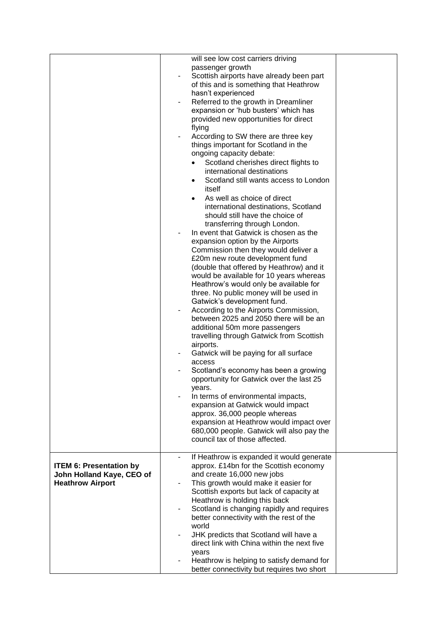|                                | will see low cost carriers driving                                          |  |
|--------------------------------|-----------------------------------------------------------------------------|--|
|                                | passenger growth                                                            |  |
|                                | Scottish airports have already been part                                    |  |
|                                | of this and is something that Heathrow                                      |  |
|                                | hasn't experienced                                                          |  |
|                                | Referred to the growth in Dreamliner                                        |  |
|                                | expansion or 'hub busters' which has                                        |  |
|                                | provided new opportunities for direct                                       |  |
|                                | flying                                                                      |  |
|                                | According to SW there are three key                                         |  |
|                                | things important for Scotland in the                                        |  |
|                                | ongoing capacity debate:                                                    |  |
|                                | Scotland cherishes direct flights to                                        |  |
|                                | international destinations                                                  |  |
|                                | Scotland still wants access to London<br>$\bullet$                          |  |
|                                | itself                                                                      |  |
|                                | As well as choice of direct                                                 |  |
|                                | international destinations, Scotland                                        |  |
|                                | should still have the choice of                                             |  |
|                                | transferring through London.                                                |  |
|                                | In event that Gatwick is chosen as the                                      |  |
|                                | expansion option by the Airports                                            |  |
|                                | Commission then they would deliver a                                        |  |
|                                | £20m new route development fund                                             |  |
|                                | (double that offered by Heathrow) and it                                    |  |
|                                | would be available for 10 years whereas                                     |  |
|                                | Heathrow's would only be available for                                      |  |
|                                | three. No public money will be used in                                      |  |
|                                | Gatwick's development fund.                                                 |  |
|                                | According to the Airports Commission,                                       |  |
|                                | between 2025 and 2050 there will be an                                      |  |
|                                | additional 50m more passengers                                              |  |
|                                | travelling through Gatwick from Scottish                                    |  |
|                                | airports.                                                                   |  |
|                                | Gatwick will be paying for all surface                                      |  |
|                                | access                                                                      |  |
|                                | Scotland's economy has been a growing                                       |  |
|                                | opportunity for Gatwick over the last 25                                    |  |
|                                | years.                                                                      |  |
|                                | In terms of environmental impacts,                                          |  |
|                                | expansion at Gatwick would impact                                           |  |
|                                | approx. 36,000 people whereas                                               |  |
|                                | expansion at Heathrow would impact over                                     |  |
|                                | 680,000 people. Gatwick will also pay the<br>council tax of those affected. |  |
|                                |                                                                             |  |
|                                | If Heathrow is expanded it would generate                                   |  |
| <b>ITEM 6: Presentation by</b> | approx. £14bn for the Scottish economy                                      |  |
| John Holland Kaye, CEO of      | and create 16,000 new jobs                                                  |  |
| <b>Heathrow Airport</b>        | This growth would make it easier for                                        |  |
|                                | Scottish exports but lack of capacity at                                    |  |
|                                | Heathrow is holding this back                                               |  |
|                                | Scotland is changing rapidly and requires                                   |  |
|                                | better connectivity with the rest of the                                    |  |
|                                | world                                                                       |  |
|                                | JHK predicts that Scotland will have a                                      |  |
|                                | direct link with China within the next five                                 |  |
|                                | years                                                                       |  |
|                                | Heathrow is helping to satisfy demand for                                   |  |
|                                | better connectivity but requires two short                                  |  |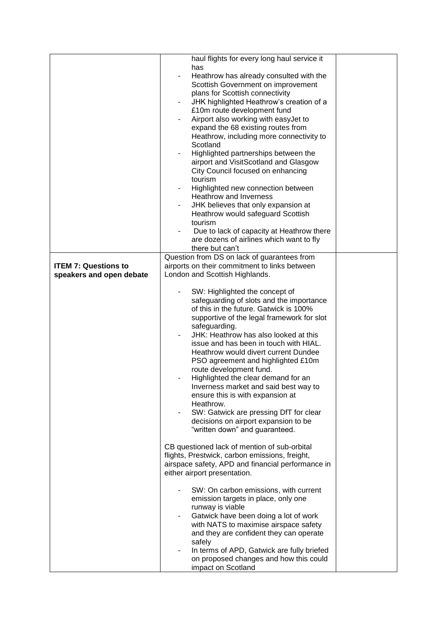|                             | haul flights for every long haul service it                                          |  |
|-----------------------------|--------------------------------------------------------------------------------------|--|
|                             | has                                                                                  |  |
|                             | Heathrow has already consulted with the                                              |  |
|                             | Scottish Government on improvement                                                   |  |
|                             | plans for Scottish connectivity<br>JHK highlighted Heathrow's creation of a          |  |
|                             | £10m route development fund                                                          |  |
|                             | Airport also working with easyJet to                                                 |  |
|                             | expand the 68 existing routes from                                                   |  |
|                             | Heathrow, including more connectivity to                                             |  |
|                             | Scotland                                                                             |  |
|                             | Highlighted partnerships between the                                                 |  |
|                             | airport and VisitScotland and Glasgow                                                |  |
|                             | City Council focused on enhancing<br>tourism                                         |  |
|                             | Highlighted new connection between                                                   |  |
|                             | <b>Heathrow and Inverness</b>                                                        |  |
|                             | JHK believes that only expansion at                                                  |  |
|                             | Heathrow would safeguard Scottish                                                    |  |
|                             | tourism                                                                              |  |
|                             | Due to lack of capacity at Heathrow there                                            |  |
|                             | are dozens of airlines which want to fly                                             |  |
|                             | there but can't<br>Question from DS on lack of guarantees from                       |  |
| <b>ITEM 7: Questions to</b> | airports on their commitment to links between                                        |  |
| speakers and open debate    | London and Scottish Highlands.                                                       |  |
|                             |                                                                                      |  |
|                             | SW: Highlighted the concept of                                                       |  |
|                             | safeguarding of slots and the importance                                             |  |
|                             | of this in the future. Gatwick is 100%<br>supportive of the legal framework for slot |  |
|                             | safeguarding.                                                                        |  |
|                             | JHK: Heathrow has also looked at this                                                |  |
|                             | issue and has been in touch with HIAL.                                               |  |
|                             | Heathrow would divert current Dundee                                                 |  |
|                             | PSO agreement and highlighted £10m                                                   |  |
|                             | route development fund.                                                              |  |
|                             | Highlighted the clear demand for an<br>Inverness market and said best way to         |  |
|                             | ensure this is with expansion at                                                     |  |
|                             | Heathrow.                                                                            |  |
|                             | SW: Gatwick are pressing DfT for clear                                               |  |
|                             | decisions on airport expansion to be                                                 |  |
|                             | "written down" and guaranteed.                                                       |  |
|                             | CB questioned lack of mention of sub-orbital                                         |  |
|                             | flights, Prestwick, carbon emissions, freight,                                       |  |
|                             | airspace safety, APD and financial performance in                                    |  |
|                             | either airport presentation.                                                         |  |
|                             |                                                                                      |  |
|                             | SW: On carbon emissions, with current<br>emission targets in place, only one         |  |
|                             | runway is viable                                                                     |  |
|                             | Gatwick have been doing a lot of work                                                |  |
|                             | with NATS to maximise airspace safety                                                |  |
|                             | and they are confident they can operate                                              |  |
|                             | safely                                                                               |  |
|                             | In terms of APD, Gatwick are fully briefed<br>on proposed changes and how this could |  |
|                             | impact on Scotland                                                                   |  |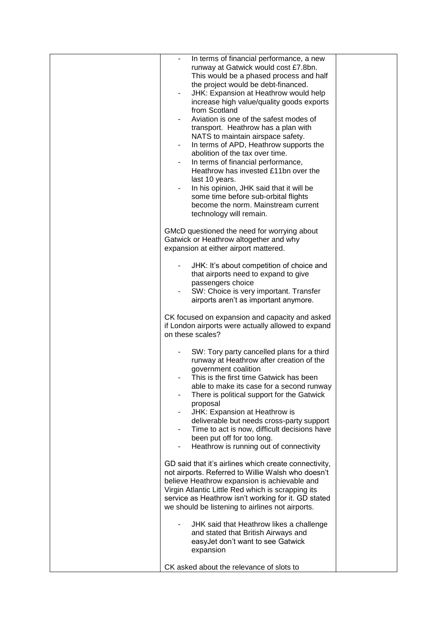| In terms of financial performance, a new<br>runway at Gatwick would cost £7.8bn.<br>This would be a phased process and half<br>the project would be debt-financed.<br>JHK: Expansion at Heathrow would help<br>increase high value/quality goods exports<br>from Scotland<br>Aviation is one of the safest modes of<br>transport. Heathrow has a plan with<br>NATS to maintain airspace safety.<br>In terms of APD, Heathrow supports the<br>abolition of the tax over time.<br>In terms of financial performance,<br>۰.<br>Heathrow has invested £11bn over the<br>last 10 years.<br>In his opinion, JHK said that it will be<br>some time before sub-orbital flights<br>become the norm. Mainstream current<br>technology will remain. |  |
|------------------------------------------------------------------------------------------------------------------------------------------------------------------------------------------------------------------------------------------------------------------------------------------------------------------------------------------------------------------------------------------------------------------------------------------------------------------------------------------------------------------------------------------------------------------------------------------------------------------------------------------------------------------------------------------------------------------------------------------|--|
| GMcD questioned the need for worrying about<br>Gatwick or Heathrow altogether and why<br>expansion at either airport mattered.<br>JHK: It's about competition of choice and<br>that airports need to expand to give<br>passengers choice                                                                                                                                                                                                                                                                                                                                                                                                                                                                                                 |  |
| SW: Choice is very important. Transfer<br>airports aren't as important anymore.<br>CK focused on expansion and capacity and asked<br>if London airports were actually allowed to expand<br>on these scales?                                                                                                                                                                                                                                                                                                                                                                                                                                                                                                                              |  |
| SW: Tory party cancelled plans for a third<br>runway at Heathrow after creation of the<br>government coalition<br>This is the first time Gatwick has been<br>able to make its case for a second runway<br>There is political support for the Gatwick<br>proposal<br>JHK: Expansion at Heathrow is<br>deliverable but needs cross-party support<br>Time to act is now, difficult decisions have<br>been put off for too long.<br>Heathrow is running out of connectivity                                                                                                                                                                                                                                                                  |  |
| GD said that it's airlines which create connectivity,<br>not airports. Referred to Willie Walsh who doesn't<br>believe Heathrow expansion is achievable and<br>Virgin Atlantic Little Red which is scrapping its<br>service as Heathrow isn't working for it. GD stated<br>we should be listening to airlines not airports.                                                                                                                                                                                                                                                                                                                                                                                                              |  |
| JHK said that Heathrow likes a challenge<br>and stated that British Airways and<br>easyJet don't want to see Gatwick<br>expansion<br>CK asked about the relevance of slots to                                                                                                                                                                                                                                                                                                                                                                                                                                                                                                                                                            |  |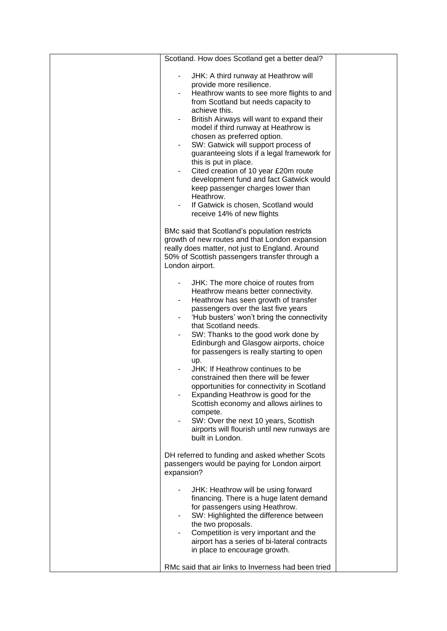| Scotland. How does Scotland get a better deal?                                                                                                                                                                                                                                                                                                                                                                                                                                                                                                                                                                                                                                                          |  |
|---------------------------------------------------------------------------------------------------------------------------------------------------------------------------------------------------------------------------------------------------------------------------------------------------------------------------------------------------------------------------------------------------------------------------------------------------------------------------------------------------------------------------------------------------------------------------------------------------------------------------------------------------------------------------------------------------------|--|
| JHK: A third runway at Heathrow will<br>provide more resilience.<br>Heathrow wants to see more flights to and<br>from Scotland but needs capacity to<br>achieve this.<br>British Airways will want to expand their<br>model if third runway at Heathrow is<br>chosen as preferred option.<br>SW: Gatwick will support process of<br>guaranteeing slots if a legal framework for<br>this is put in place.<br>Cited creation of 10 year £20m route<br>development fund and fact Gatwick would<br>keep passenger charges lower than<br>Heathrow.<br>If Gatwick is chosen, Scotland would<br>receive 14% of new flights                                                                                     |  |
| BMc said that Scotland's population restricts<br>growth of new routes and that London expansion<br>really does matter, not just to England. Around<br>50% of Scottish passengers transfer through a<br>London airport.                                                                                                                                                                                                                                                                                                                                                                                                                                                                                  |  |
| JHK: The more choice of routes from<br>Heathrow means better connectivity.<br>Heathrow has seen growth of transfer<br>passengers over the last five years<br>'Hub busters' won't bring the connectivity<br>that Scotland needs.<br>SW: Thanks to the good work done by<br>Edinburgh and Glasgow airports, choice<br>for passengers is really starting to open<br>up.<br>JHK: If Heathrow continues to be<br>constrained then there will be fewer<br>opportunities for connectivity in Scotland<br>Expanding Heathrow is good for the<br>Scottish economy and allows airlines to<br>compete.<br>SW: Over the next 10 years, Scottish<br>airports will flourish until new runways are<br>built in London. |  |
| DH referred to funding and asked whether Scots<br>passengers would be paying for London airport<br>expansion?                                                                                                                                                                                                                                                                                                                                                                                                                                                                                                                                                                                           |  |
| JHK: Heathrow will be using forward<br>financing. There is a huge latent demand<br>for passengers using Heathrow.<br>SW: Highlighted the difference between<br>the two proposals.<br>Competition is very important and the<br>airport has a series of bi-lateral contracts<br>in place to encourage growth.<br>RMc said that air links to Inverness had been tried                                                                                                                                                                                                                                                                                                                                      |  |